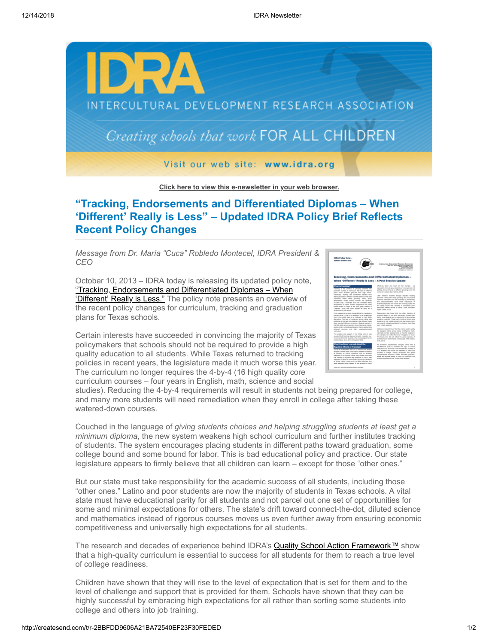

**[Click here to view this e-newsletter in your web browser.](http://newsletter.impulsedevelopment.com/t/r-e-nykjkhy-l-r/)**

## **"Tracking, Endorsements and Differentiated Diplomas – When 'Different' Really is Less" – Updated IDRA Policy Brief Reflects Recent Policy Changes**

*Message from Dr. María "Cuca" Robledo Montecel, IDRA President & CEO*

October 10, 2013 – IDRA today is releasing its updated policy note, ["Tracking, Endorsements and Differentiated Diplomas – When](http://idra.createsend1.com/t/r-l-nykjkhy-l-i/) 'Different' Really is Less." The policy note presents an overview of the recent policy changes for curriculum, tracking and graduation plans for Texas schools.

Certain interests have succeeded in convincing the majority of Texas policymakers that schools should not be required to provide a high quality education to all students. While Texas returned to tracking policies in recent years, the legislature made it much worse this year. The curriculum no longer requires the 4-by-4 (16 high quality core curriculum courses – four years in English, math, science and social



studies). Reducing the 4-by-4 requirements will result in students not being prepared for college, and many more students will need remediation when they enroll in college after taking these watered-down courses.

Couched in the language of *giving students choices and helping struggling students at least get a minimum diploma*, the new system weakens high school curriculum and further institutes tracking of students. The system encourages placing students in different paths toward graduation, some college bound and some bound for labor. This is bad educational policy and practice. Our state legislature appears to firmly believe that all children can learn – except for those "other ones."

But our state must take responsibility for the academic success of all students, including those "other ones." Latino and poor students are now the majority of students in Texas schools. A vital state must have educational parity for all students and not parcel out one set of opportunities for some and minimal expectations for others. The state's drift toward connect-the-dot, diluted science and mathematics instead of rigorous courses moves us even further away from ensuring economic competitiveness and universally high expectations for all students.

The research and decades of experience behind IDRA's **Quality School Action Framework™** show that a high-quality curriculum is essential to success for all students for them to reach a true level of college readiness.

Children have shown that they will rise to the level of expectation that is set for them and to the level of challenge and support that is provided for them. Schools have shown that they can be highly successful by embracing high expectations for all rather than sorting some students into college and others into job training.